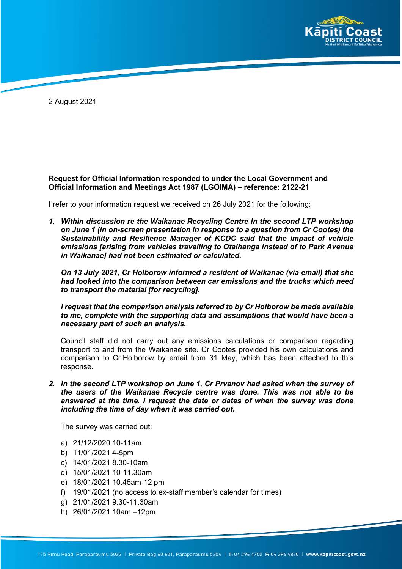

2 August 2021

# **Request for Official Information responded to under the Local Government and Official Information and Meetings Act 1987 (LGOIMA) – reference: 2122-21**

I refer to your information request we received on 26 July 2021 for the following:

*1. Within discussion re the Waikanae Recycling Centre In the second LTP workshop on June 1 (in on-screen presentation in response to a question from Cr Cootes) the Sustainability and Resilience Manager of KCDC said that the impact of vehicle emissions [arising from vehicles travelling to Otaihanga instead of to Park Avenue in Waikanae] had not been estimated or calculated.*

*On 13 July 2021, Cr Holborow informed a resident of Waikanae (via email) that she had looked into the comparison between car emissions and the trucks which need to transport the material [for recycling].*

*I request that the comparison analysis referred to by Cr Holborow be made available to me, complete with the supporting data and assumptions that would have been a necessary part of such an analysis.*

Council staff did not carry out any emissions calculations or comparison regarding transport to and from the Waikanae site. Cr Cootes provided his own calculations and comparison to Cr Holborow by email from 31 May, which has been attached to this response.

*2. In the second LTP workshop on June 1, Cr Prvanov had asked when the survey of the users of the Waikanae Recycle centre was done. This was not able to be answered at the time. I request the date or dates of when the survey was done including the time of day when it was carried out.*

The survey was carried out:

- a) 21/12/2020 10-11am
- b) 11/01/2021 4-5pm
- c) 14/01/2021 8.30-10am
- d) 15/01/2021 10-11.30am
- e) 18/01/2021 10.45am-12 pm
- f) 19/01/2021 (no access to ex-staff member's calendar for times)
- g) 21/01/2021 9.30-11.30am
- h) 26/01/2021 10am –12pm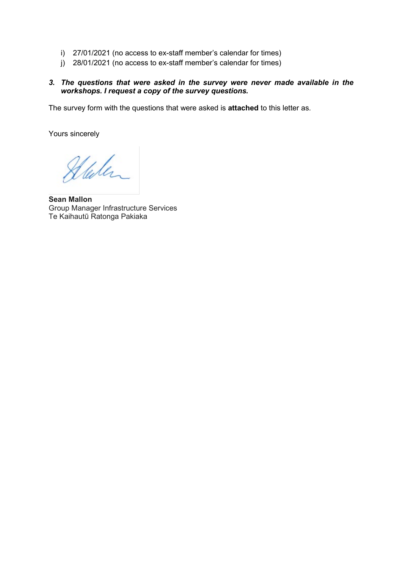- i) 27/01/2021 (no access to ex-staff member's calendar for times)
- j) 28/01/2021 (no access to ex-staff member's calendar for times)

# *3. The questions that were asked in the survey were never made available in the workshops. I request a copy of the survey questions.*

The survey form with the questions that were asked is **attached** to this letter as.

Yours sincerely

Stalen

**Sean Mallon** Group Manager Infrastructure Services Te Kaihautū Ratonga Pakiaka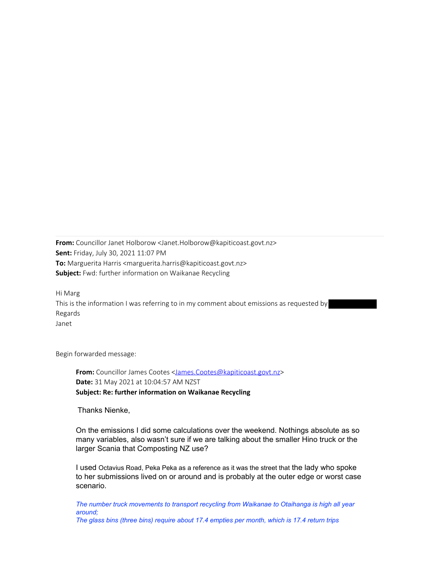**From:** Councillor Janet Holborow <Janet.Holborow@kapiticoast.govt.nz> **Sent:** Friday, July 30, 2021 11:07 PM **To:** Marguerita Harris <marguerita.harris@kapiticoast.govt.nz> **Subject:** Fwd: further information on Waikanae Recycling

Hi Marg This is the information I was referring to in my comment about emissions as requested by Regards Janet

Begin forwarded message:

**From:** Councillor James Cootes <James.Cootes@kapiticoast.govt.nz> **Date:** 31 May 2021 at 10:04:57 AM NZST **Subject: Re: further information on Waikanae Recycling**

Thanks Nienke,

On the emissions I did some calculations over the weekend. Nothings absolute as so many variables, also wasn't sure if we are talking about the smaller Hino truck or the larger Scania that Composting NZ use?

I used Octavius Road, Peka Peka as a reference as it was the street that the lady who spoke to her submissions lived on or around and is probably at the outer edge or worst case scenario.

*The number truck movements to transport recycling from Waikanae to Otaihanga is high all year around; The glass bins (three bins) require about 17.4 empties per month, which is 17.4 return trips*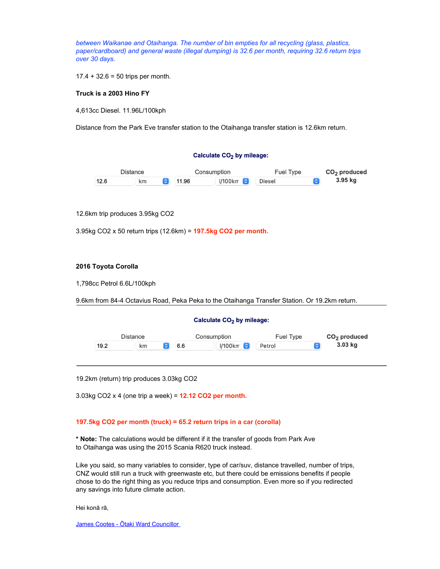*between Waikanae and Otaihanga. The number of bin empties for all recycling (glass, plastics, paper/cardboard) and general waste (illegal dumping) is 32.6 per month, requiring 32.6 return trips over 30 days.*

 $17.4 + 32.6 = 50$  trips per month.

#### **Truck is a 2003 Hino FY**

4,613cc Diesel. 11.96L/100kph

Distance from the Park Eve transfer station to the Otaihanga transfer station is 12.6km return.

#### Calculate CO<sub>2</sub> by mileage:



12.6km trip produces 3.95kg CO2

3.95kg CO2 x 50 return trips (12.6km) = **197.5kg CO2 per month.**

#### **2016 Toyota Corolla**

1,798cc Petrol 6.6L/100kph

9.6km from 84-4 Octavius Road, Peka Peka to the Otaihanga Transfer Station. Or 19.2km return.

#### Calculate CO<sub>2</sub> by mileage:



19.2km (return) trip produces 3.03kg CO2

3.03kg CO2 x 4 (one trip a week) = **12.12 CO2 per month.**

#### **197.5kg CO2 per month (truck) = 65.2 return trips in a car (corolla)**

**\* Note:** The calculations would be different if it the transfer of goods from Park Ave to Otaihanga was using the 2015 Scania R620 truck instead.

Like you said, so many variables to consider, type of car/suv, distance travelled, number of trips, CNZ would still run a truck with greenwaste etc, but there could be emissions benefits if people chose to do the right thing as you reduce trips and consumption. Even more so if you redirected any savings into future climate action.

Hei konā rā,

James Cootes - Ōtaki Ward Councillor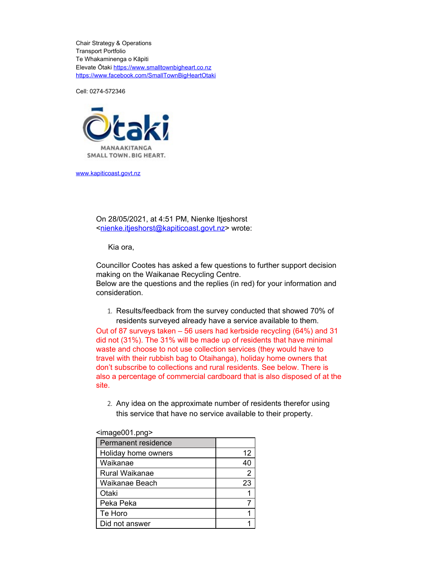Chair Strategy & Operations Transport Portfolio Te Whakaminenga o Kāpiti Elevate Ōtaki https://www.smalltownbigheart.co.nz https://www.facebook.com/SmallTownBigHeartOtaki

Cell: 0274-572346



www.kapiticoast.govt.nz

On 28/05/2021, at 4:51 PM, Nienke Itjeshorst <nienke.itjeshorst@kapiticoast.govt.nz> wrote:

Kia ora,

Councillor Cootes has asked a few questions to further support decision making on the Waikanae Recycling Centre.

Below are the questions and the replies (in red) for your information and consideration.

1. Results/feedback from the survey conducted that showed 70% of residents surveyed already have a service available to them.

Out of 87 surveys taken – 56 users had kerbside recycling (64%) and 31 did not (31%). The 31% will be made up of residents that have minimal waste and choose to not use collection services (they would have to travel with their rubbish bag to Otaihanga), holiday home owners that don't subscribe to collections and rural residents. See below. There is also a percentage of commercial cardboard that is also disposed of at the site.

2. Any idea on the approximate number of residents therefor using this service that have no service available to their property.

| →imay∪v∪ i .pny∽           |                |
|----------------------------|----------------|
| <b>Permanent residence</b> |                |
| Holiday home owners        | 12             |
| Waikanae                   | 40             |
| Rural Waikanae             | $\overline{2}$ |
| Waikanae Beach             | 23             |
| Otaki                      |                |
| Peka Peka                  |                |
| Te Horo                    |                |
| Did not answer             |                |

# $\epsilon$ image $001$ .png>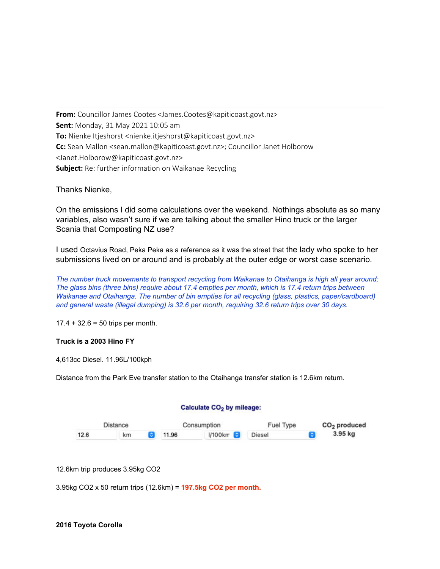**From:** Councillor James Cootes <James.Cootes@kapiticoast.govt.nz> **Sent:** Monday, 31 May 2021 10:05 am **To:** Nienke Itjeshorst <nienke.itjeshorst@kapiticoast.govt.nz> **Cc:** Sean Mallon <sean.mallon@kapiticoast.govt.nz>; Councillor Janet Holborow <Janet.Holborow@kapiticoast.govt.nz> **Subject:** Re: further information on Waikanae Recycling

Thanks Nienke,

On the emissions I did some calculations over the weekend. Nothings absolute as so many variables, also wasn't sure if we are talking about the smaller Hino truck or the larger Scania that Composting NZ use?

I used Octavius Road, Peka Peka as a reference as it was the street that the lady who spoke to her submissions lived on or around and is probably at the outer edge or worst case scenario.

*The number truck movements to transport recycling from Waikanae to Otaihanga is high all year around; The glass bins (three bins) require about 17.4 empties per month, which is 17.4 return trips between Waikanae and Otaihanga. The number of bin empties for all recycling (glass, plastics, paper/cardboard) and general waste (illegal dumping) is 32.6 per month, requiring 32.6 return trips over 30 days.*

 $17.4 + 32.6 = 50$  trips per month.

## **Truck is a 2003 Hino FY**

4,613cc Diesel. 11.96L/100kph

Distance from the Park Eve transfer station to the Otaihanga transfer station is 12.6km return.

## Calculate CO<sub>2</sub> by mileage:



12.6km trip produces 3.95kg CO2

3.95kg CO2 x 50 return trips (12.6km) = **197.5kg CO2 per month.**

## **2016 Toyota Corolla**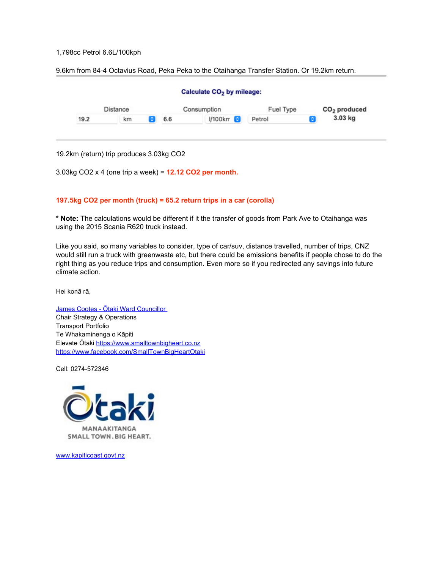## 1,798cc Petrol 6.6L/100kph

9.6km from 84-4 Octavius Road, Peka Peka to the Otaihanga Transfer Station. Or 19.2km return.



19.2km (return) trip produces 3.03kg CO2

3.03kg CO2 x 4 (one trip a week) = **12.12 CO2 per month.**

#### **197.5kg CO2 per month (truck) = 65.2 return trips in a car (corolla)**

**\* Note:** The calculations would be different if it the transfer of goods from Park Ave to Otaihanga was using the 2015 Scania R620 truck instead.

Like you said, so many variables to consider, type of car/suv, distance travelled, number of trips, CNZ would still run a truck with greenwaste etc, but there could be emissions benefits if people chose to do the right thing as you reduce trips and consumption. Even more so if you redirected any savings into future climate action.

Hei konā rā,

James Cootes - Ōtaki Ward Councillor Chair Strategy & Operations Transport Portfolio Te Whakaminenga o Kāpiti Elevate Ōtaki https://www.smalltownbigheart.co.nz https://www.facebook.com/SmallTownBigHeartOtaki

Cell: 0274-572346



www.kapiticoast.govt.nz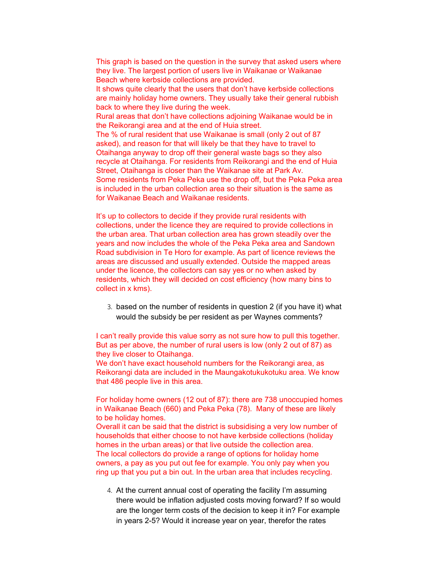This graph is based on the question in the survey that asked users where they live. The largest portion of users live in Waikanae or Waikanae Beach where kerbside collections are provided.

It shows quite clearly that the users that don't have kerbside collections are mainly holiday home owners. They usually take their general rubbish back to where they live during the week.

Rural areas that don't have collections adjoining Waikanae would be in the Reikorangi area and at the end of Huia street.

The % of rural resident that use Waikanae is small (only 2 out of 87 asked), and reason for that will likely be that they have to travel to Otaihanga anyway to drop off their general waste bags so they also recycle at Otaihanga. For residents from Reikorangi and the end of Huia Street, Otaihanga is closer than the Waikanae site at Park Av. Some residents from Peka Peka use the drop off, but the Peka Peka area is included in the urban collection area so their situation is the same as for Waikanae Beach and Waikanae residents.

It's up to collectors to decide if they provide rural residents with collections, under the licence they are required to provide collections in the urban area. That urban collection area has grown steadily over the years and now includes the whole of the Peka Peka area and Sandown Road subdivision in Te Horo for example. As part of licence reviews the areas are discussed and usually extended. Outside the mapped areas under the licence, the collectors can say yes or no when asked by residents, which they will decided on cost efficiency (how many bins to collect in x kms).

3. based on the number of residents in question 2 (if you have it) what would the subsidy be per resident as per Waynes comments?

I can't really provide this value sorry as not sure how to pull this together. But as per above, the number of rural users is low (only 2 out of 87) as they live closer to Otaihanga.

We don't have exact household numbers for the Reikorangi area, as Reikorangi data are included in the Maungakotukukotuku area. We know that 486 people live in this area.

For holiday home owners (12 out of 87): there are 738 unoccupied homes in Waikanae Beach (660) and Peka Peka (78). Many of these are likely to be holiday homes.

Overall it can be said that the district is subsidising a very low number of households that either choose to not have kerbside collections (holiday homes in the urban areas) or that live outside the collection area. The local collectors do provide a range of options for holiday home owners, a pay as you put out fee for example. You only pay when you ring up that you put a bin out. In the urban area that includes recycling.

4. At the current annual cost of operating the facility I'm assuming there would be inflation adjusted costs moving forward? If so would are the longer term costs of the decision to keep it in? For example in years 2-5? Would it increase year on year, therefor the rates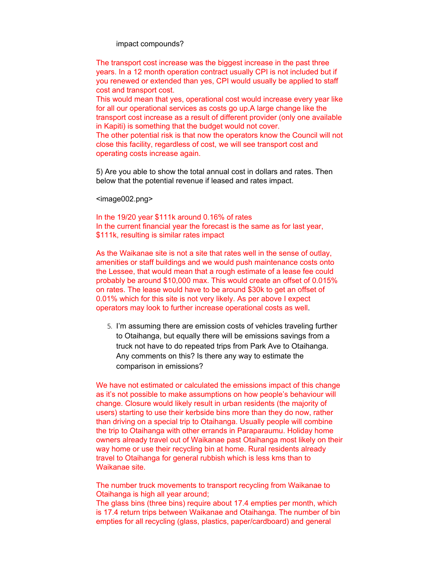impact compounds?

The transport cost increase was the biggest increase in the past three years. In a 12 month operation contract usually CPI is not included but if you renewed or extended than yes, CPI would usually be applied to staff cost and transport cost.

This would mean that yes, operational cost would increase every year like for all our operational services as costs go up.A large change like the transport cost increase as a result of different provider (only one available in Kapiti) is something that the budget would not cover.

The other potential risk is that now the operators know the Council will not close this facility, regardless of cost, we will see transport cost and operating costs increase again.

5) Are you able to show the total annual cost in dollars and rates. Then below that the potential revenue if leased and rates impact.

<image002.png>

In the 19/20 year \$111k around 0.16% of rates In the current financial year the forecast is the same as for last year, \$111k, resulting is similar rates impact

As the Waikanae site is not a site that rates well in the sense of outlay, amenities or staff buildings and we would push maintenance costs onto the Lessee, that would mean that a rough estimate of a lease fee could probably be around \$10,000 max. This would create an offset of 0.015% on rates. The lease would have to be around \$30k to get an offset of 0.01% which for this site is not very likely. As per above I expect operators may look to further increase operational costs as well.

5. I'm assuming there are emission costs of vehicles traveling further to Otaihanga, but equally there will be emissions savings from a truck not have to do repeated trips from Park Ave to Otaihanga. Any comments on this? Is there any way to estimate the comparison in emissions?

We have not estimated or calculated the emissions impact of this change as it's not possible to make assumptions on how people's behaviour will change. Closure would likely result in urban residents (the majority of users) starting to use their kerbside bins more than they do now, rather than driving on a special trip to Otaihanga. Usually people will combine the trip to Otaihanga with other errands in Paraparaumu. Holiday home owners already travel out of Waikanae past Otaihanga most likely on their way home or use their recycling bin at home. Rural residents already travel to Otaihanga for general rubbish which is less kms than to Waikanae site.

The number truck movements to transport recycling from Waikanae to Otaihanga is high all year around;

The glass bins (three bins) require about 17.4 empties per month, which is 17.4 return trips between Waikanae and Otaihanga. The number of bin empties for all recycling (glass, plastics, paper/cardboard) and general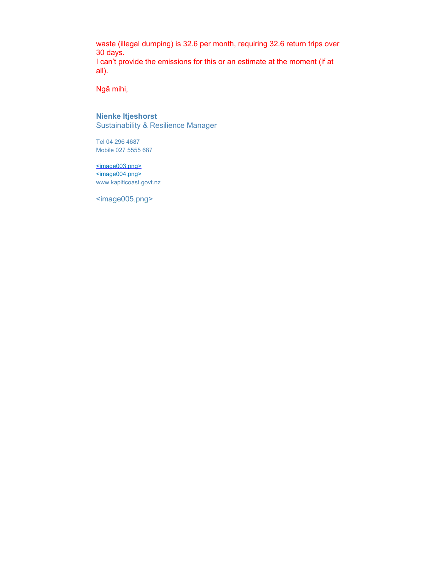waste (illegal dumping) is 32.6 per month, requiring 32.6 return trips over 30 days. I can't provide the emissions for this or an estimate at the moment (if at all).

Ngā mihi,

## **Nienke Itjeshorst** Sustainability & Resilience Manager

Tel 04 296 4687 Mobile 027 5555 687

<image003.png> <image004.png> www.kapiticoast.govt.nz

<image005.png>